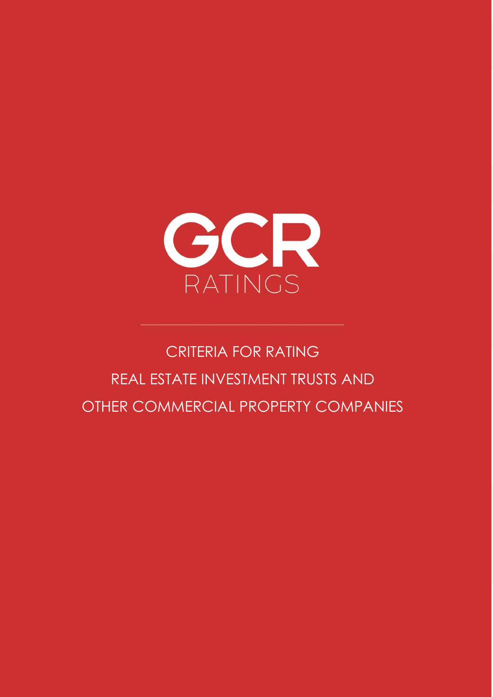

# CRITERIA FOR RATING REAL ESTATE INVESTMENT TRUSTS AND OTHER COMMERCIAL PROPERTY COMPANIES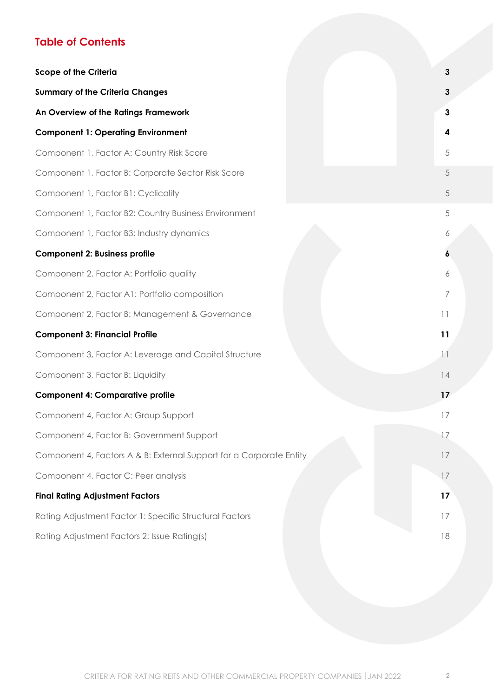## **Table of Contents**

| <b>Scope of the Criteria</b>                                        | $\mathbf{3}$   |
|---------------------------------------------------------------------|----------------|
| <b>Summary of the Criteria Changes</b>                              | 3              |
| An Overview of the Ratings Framework                                | $\mathbf{3}$   |
| <b>Component 1: Operating Environment</b>                           | 4              |
| Component 1, Factor A: Country Risk Score                           | $\sqrt{5}$     |
| Component 1, Factor B: Corporate Sector Risk Score                  | 5              |
| Component 1, Factor B1: Cyclicality                                 | $\sqrt{5}$     |
| Component 1, Factor B2: Country Business Environment                | 5              |
| Component 1, Factor B3: Industry dynamics                           | 6              |
| <b>Component 2: Business profile</b>                                | 6              |
| Component 2, Factor A: Portfolio quality                            | 6              |
| Component 2, Factor A1: Portfolio composition                       | $\overline{7}$ |
| Component 2, Factor B: Management & Governance                      | 11             |
| <b>Component 3: Financial Profile</b>                               | 11             |
| Component 3, Factor A: Leverage and Capital Structure               | 11             |
| Component 3, Factor B: Liquidity                                    | 14             |
| <b>Component 4: Comparative profile</b>                             | 17             |
| Component 4, Factor A: Group Support                                | 17             |
| Component 4, Factor B: Government Support                           | 17             |
| Component 4, Factors A & B: External Support for a Corporate Entity | 17             |
| Component 4, Factor C: Peer analysis                                | 17             |
| <b>Final Rating Adjustment Factors</b>                              | 17             |
| Rating Adjustment Factor 1: Specific Structural Factors             | 17             |
| Rating Adjustment Factors 2: Issue Rating(s)                        | 18             |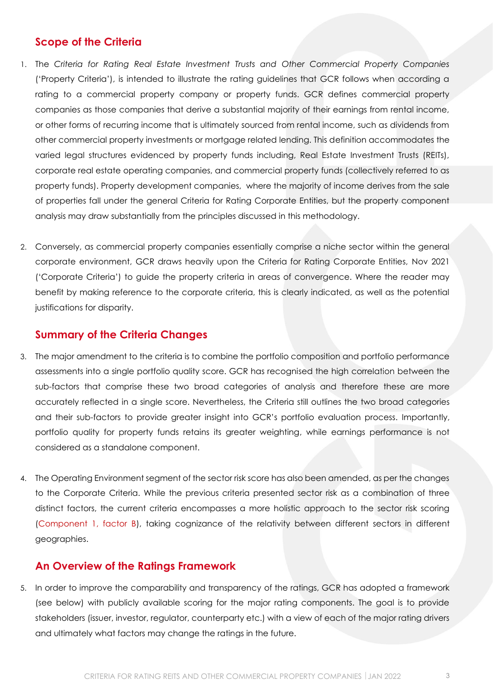## <span id="page-2-0"></span>**Scope of the Criteria**

- 1. The *Criteria for Rating Real Estate Investment Trusts and Other Commercial Property Companies* ('Property Criteria'), is intended to illustrate the rating guidelines that GCR follows when according a rating to a commercial property company or property funds. GCR defines commercial property companies as those companies that derive a substantial majority of their earnings from rental income, or other forms of recurring income that is ultimately sourced from rental income, such as dividends from other commercial property investments or mortgage related lending. This definition accommodates the varied legal structures evidenced by property funds including, Real Estate Investment Trusts (REITs), corporate real estate operating companies, and commercial property funds (collectively referred to as property funds). Property development companies, where the majority of income derives from the sale of properties fall under the general Criteria for Rating Corporate Entities, but the property component analysis may draw substantially from the principles discussed in this methodology.
- 2. Conversely, as commercial property companies essentially comprise a niche sector within the general corporate environment, GCR draws heavily upon the Criteria for Rating Corporate Entities, Nov 2021 ('Corporate Criteria') to guide the property criteria in areas of convergence. Where the reader may benefit by making reference to the corporate criteria, this is clearly indicated, as well as the potential justifications for disparity.

## <span id="page-2-1"></span>**Summary of the Criteria Changes**

- 3. The major amendment to the criteria is to combine the portfolio composition and portfolio performance assessments into a single portfolio quality score. GCR has recognised the high correlation between the sub-factors that comprise these two broad categories of analysis and therefore these are more accurately reflected in a single score. Nevertheless, the Criteria still outlines the two broad categories and their sub-factors to provide greater insight into GCR's portfolio evaluation process. Importantly, portfolio quality for property funds retains its greater weighting, while earnings performance is not considered as a standalone component.
- 4. The Operating Environment segment of the sector risk score has also been amended, as per the changes to the Corporate Criteria. While the previous criteria presented sector risk as a combination of three distinct factors, the current criteria encompasses a more holistic approach to the sector risk scoring (Component 1, factor B), taking cognizance of the relativity between different sectors in different geographies.

### <span id="page-2-2"></span>**An Overview of the Ratings Framework**

5. In order to improve the comparability and transparency of the ratings, GCR has adopted a framework (see below) with publicly available scoring for the major rating components. The goal is to provide stakeholders (issuer, investor, regulator, counterparty etc.) with a view of each of the major rating drivers and ultimately what factors may change the ratings in the future.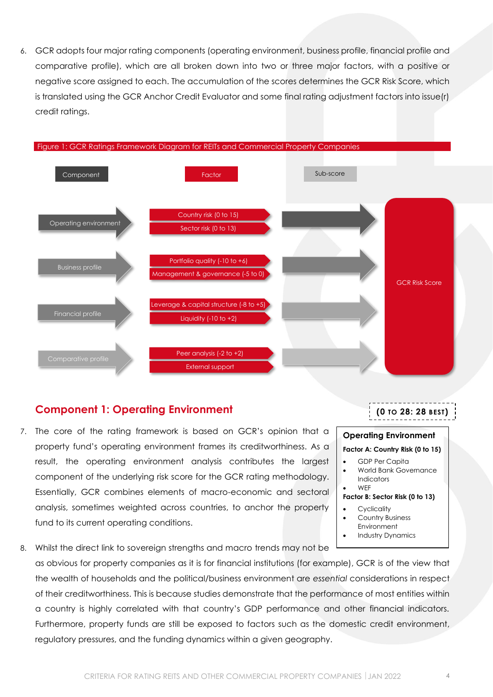6. GCR adopts four major rating components (operating environment, business profile, financial profile and comparative profile), which are all broken down into two or three major factors, with a positive or negative score assigned to each. The accumulation of the scores determines the GCR Risk Score, which is translated using the GCR Anchor Credit Evaluator and some final rating adjustment factors into issue(r) credit ratings.



## <span id="page-3-0"></span>**Component 1: Operating Environment**

- 7. The core of the rating framework is based on GCR's opinion that a property fund's operating environment frames its creditworthiness. As a result, the operating environment analysis contributes the largest component of the underlying risk score for the GCR rating methodology. Essentially, GCR combines elements of macro-economic and sectoral analysis, sometimes weighted across countries, to anchor the property fund to its current operating conditions.
- 8. Whilst the direct link to sovereign strengths and macro trends may not be as obvious for property companies as it is for financial institutions (for example), GCR is of the view that the wealth of households and the political/business environment are *essential* considerations in respect of their creditworthiness. This is because studies demonstrate that the performance of most entities within a country is highly correlated with that country's GDP performance and other financial indicators. Furthermore, property funds are still be exposed to factors such as the domestic credit environment, regulatory pressures, and the funding dynamics within a given geography.

| CRITERIA FOR RATING REITS AND OTHER COMMERCIAL PROPERTY COMPANIES   JAN 2022 |  |
|------------------------------------------------------------------------------|--|
|------------------------------------------------------------------------------|--|

**Operating Environment Factor A: Country Risk (0 to 15)** • GDP Per Capita

**Factor B: Sector Risk (0 to 13)**

Indicators • WEF

**Cyclicality** Country Business Environment • Industry Dynamics

• World Bank Governance

**(0 TO 28: 28 BEST)**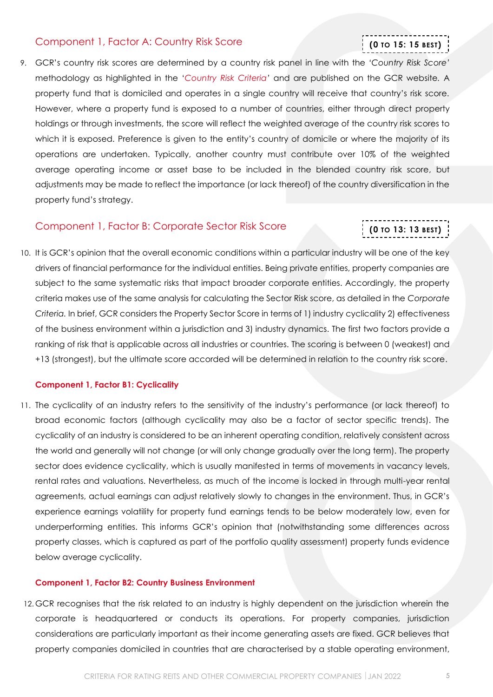#### <span id="page-4-0"></span>Component 1, Factor A: Country Risk Score

## 9. GCR's country risk scores are determined by a country risk panel in line with the *'Country Risk Score'* methodology as highlighted in the '*[Country Risk Criteria](https://gcrratings.com/criteria/)'* and are published on the GCR website*.* A property fund that is domiciled and operates in a single country will receive that country's risk score*.* However, where a property fund is exposed to a number of countries, either through direct property holdings or through investments, the score will reflect the weighted average of the country risk scores to which it is exposed. Preference is given to the entity's country of domicile or where the majority of its operations are undertaken. Typically, another country must contribute over 10% of the weighted average operating income or asset base to be included in the blended country risk score, but adjustments may be made to reflect the importance (or lack thereof) of the country diversification in the property fund's strategy.

#### <span id="page-4-1"></span>Component 1, Factor B: Corporate Sector Risk Score

## **(0 TO 13: 13 BEST)**

**(0 TO 15: 15 BEST)**

10. It is GCR's opinion that the overall economic conditions within a particular industry will be one of the key drivers of financial performance for the individual entities. Being private entities, property companies are subject to the same systematic risks that impact broader corporate entities. Accordingly, the property criteria makes use of the same analysis for calculating the Sector Risk score, as detailed in the *Corporate Criteria.* In brief, GCR considers the Property Sector Score in terms of 1) industry cyclicality 2) effectiveness of the business environment within a jurisdiction and 3) industry dynamics. The first two factors provide a ranking of risk that is applicable across all industries or countries. The scoring is between 0 (weakest) and +13 (strongest), but the ultimate score accorded will be determined in relation to the country risk score.

#### <span id="page-4-2"></span>**Component 1, Factor B1: Cyclicality**

11. The cyclicality of an industry refers to the sensitivity of the industry's performance (or lack thereof) to broad economic factors (although cyclicality may also be a factor of sector specific trends). The cyclicality of an industry is considered to be an inherent operating condition, relatively consistent across the world and generally will not change (or will only change gradually over the long term). The property sector does evidence cyclicality, which is usually manifested in terms of movements in vacancy levels, rental rates and valuations. Nevertheless, as much of the income is locked in through multi-year rental agreements, actual earnings can adjust relatively slowly to changes in the environment. Thus, in GCR's experience earnings volatility for property fund earnings tends to be below moderately low, even for underperforming entities. This informs GCR's opinion that (notwithstanding some differences across property classes, which is captured as part of the portfolio quality assessment) property funds evidence below average cyclicality.

#### <span id="page-4-3"></span>**Component 1, Factor B2: Country Business Environment**

12. GCR recognises that the risk related to an industry is highly dependent on the jurisdiction wherein the corporate is headquartered or conducts its operations. For property companies, jurisdiction considerations are particularly important as their income generating assets are fixed. GCR believes that property companies domiciled in countries that are characterised by a stable operating environment,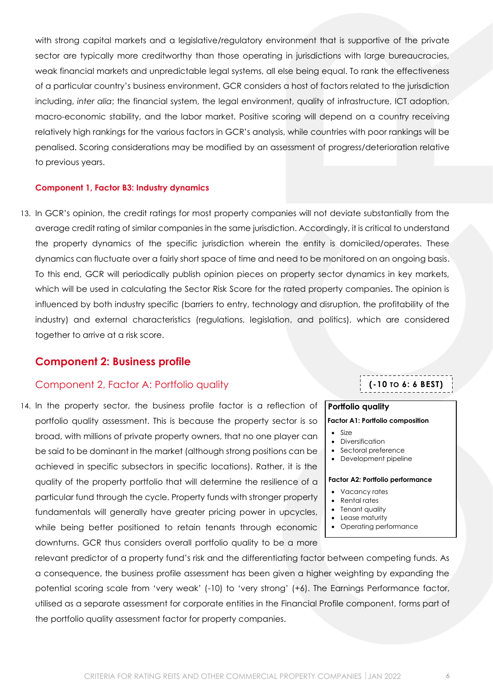with strong capital markets and a legislative/regulatory environment that is supportive of the private sector are typically more creditworthy than those operating in jurisdictions with large bureaucracies, weak financial markets and unpredictable legal systems, all else being equal. To rank the effectiveness of a particular country's business environment, GCR considers a host of factors related to the jurisdiction including, *inter alia*; the financial system, the legal environment, quality of infrastructure, ICT adoption, macro-economic stability, and the labor market. Positive scoring will depend on a country receiving relatively high rankings for the various factors in GCR's analysis, while countries with poor rankings will be penalised. Scoring considerations may be modified by an assessment of progress/deterioration relative to previous years.

#### <span id="page-5-0"></span>**Component 1, Factor B3: Industry dynamics**

13. In GCR's opinion, the credit ratings for most property companies will not deviate substantially from the average credit rating of similar companies in the same jurisdiction. Accordingly, it is critical to understand the property dynamics of the specific jurisdiction wherein the entity is domiciled/operates. These dynamics can fluctuate over a fairly short space of time and need to be monitored on an ongoing basis. To this end, GCR will periodically publish opinion pieces on property sector dynamics in key markets, which will be used in calculating the Sector Risk Score for the rated property companies. The opinion is influenced by both industry specific (barriers to entry, technology and disruption, the profitability of the industry) and external characteristics (regulations, legislation, and politics), which are considered together to arrive at a risk score.

#### <span id="page-5-1"></span>**Component 2: Business profile**

#### <span id="page-5-2"></span>Component 2, Factor A: Portfolio quality

14. In the property sector, the business profile factor is a reflection of portfolio quality assessment. This is because the property sector is so broad, with millions of private property owners, that no one player can be said to be dominant in the market (although strong positions can be achieved in specific subsectors in specific locations). Rather, it is the quality of the property portfolio that will determine the resilience of a particular fund through the cycle. Property funds with stronger property fundamentals will generally have greater pricing power in upcycles, while being better positioned to retain tenants through economic downturns. GCR thus considers overall portfolio quality to be a more

relevant predictor of a property fund's risk and the differentiating factor between competing funds. As a consequence, the business profile assessment has been given a higher weighting by expanding the potential scoring scale from 'very weak' (-10) to 'very strong' (+6). The Earnings Performance factor, utilised as a separate assessment for corporate entities in the Financial Profile component, forms part of the portfolio quality assessment factor for property companies.

### **(-10 TO 6: 6 BEST)**

#### **Portfolio quality**

#### **Factor A1: Portfolio composition**

- Size
- Diversification
- Sectoral preference
- Development pipeline

#### **Factor A2: Portfolio performance**

- Vacancy rates
- Rental rates
- Tenant quality
- Lease maturity
- Operating performance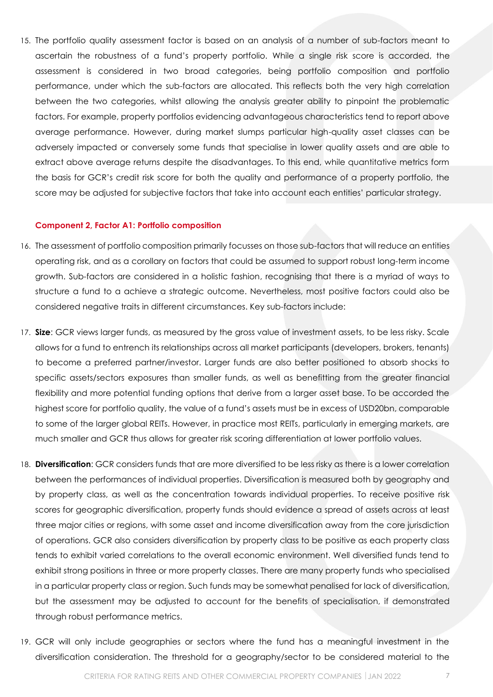15. The portfolio quality assessment factor is based on an analysis of a number of sub-factors meant to ascertain the robustness of a fund's property portfolio. While a single risk score is accorded, the assessment is considered in two broad categories, being portfolio composition and portfolio performance, under which the sub-factors are allocated. This reflects both the very high correlation between the two categories, whilst allowing the analysis greater ability to pinpoint the problematic factors. For example, property portfolios evidencing advantageous characteristics tend to report above average performance. However, during market slumps particular high-quality asset classes can be adversely impacted or conversely some funds that specialise in lower quality assets and are able to extract above average returns despite the disadvantages. To this end, while quantitative metrics form the basis for GCR's credit risk score for both the quality and performance of a property portfolio, the score may be adjusted for subjective factors that take into account each entities' particular strategy.

#### <span id="page-6-0"></span>**Component 2, Factor A1: Portfolio composition**

- 16. The assessment of portfolio composition primarily focusses on those sub-factors that will reduce an entities operating risk, and as a corollary on factors that could be assumed to support robust long-term income growth. Sub-factors are considered in a holistic fashion, recognising that there is a myriad of ways to structure a fund to a achieve a strategic outcome. Nevertheless, most positive factors could also be considered negative traits in different circumstances. Key sub-factors include:
- 17. **Size**: GCR views larger funds, as measured by the gross value of investment assets, to be less risky. Scale allows for a fund to entrench its relationships across all market participants (developers, brokers, tenants) to become a preferred partner/investor. Larger funds are also better positioned to absorb shocks to specific assets/sectors exposures than smaller funds, as well as benefitting from the greater financial flexibility and more potential funding options that derive from a larger asset base. To be accorded the highest score for portfolio quality, the value of a fund's assets must be in excess of USD20bn, comparable to some of the larger global REITs. However, in practice most REITs, particularly in emerging markets, are much smaller and GCR thus allows for greater risk scoring differentiation at lower portfolio values.
- 18. **Diversification**: GCR considers funds that are more diversified to be less risky as there is a lower correlation between the performances of individual properties. Diversification is measured both by geography and by property class, as well as the concentration towards individual properties. To receive positive risk scores for geographic diversification, property funds should evidence a spread of assets across at least three major cities or regions, with some asset and income diversification away from the core jurisdiction of operations. GCR also considers diversification by property class to be positive as each property class tends to exhibit varied correlations to the overall economic environment. Well diversified funds tend to exhibit strong positions in three or more property classes. There are many property funds who specialised in a particular property class or region. Such funds may be somewhat penalised for lack of diversification, but the assessment may be adjusted to account for the benefits of specialisation, if demonstrated through robust performance metrics.
- 19. GCR will only include geographies or sectors where the fund has a meaningful investment in the diversification consideration. The threshold for a geography/sector to be considered material to the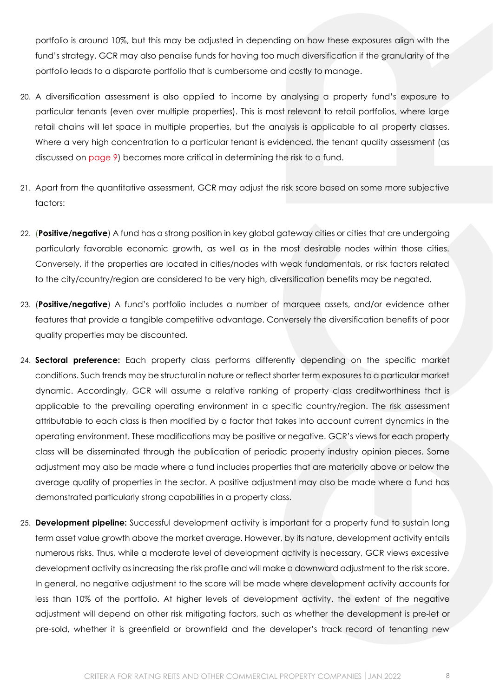portfolio is around 10%, but this may be adjusted in depending on how these exposures align with the fund's strategy. GCR may also penalise funds for having too much diversification if the granularity of the portfolio leads to a disparate portfolio that is cumbersome and costly to manage.

- 20. A diversification assessment is also applied to income by analysing a property fund's exposure to particular tenants (even over multiple properties). This is most relevant to retail portfolios, where large retail chains will let space in multiple properties, but the analysis is applicable to all property classes. Where a very high concentration to a particular tenant is evidenced, the tenant quality assessment (as discussed on [page 9\)](#page-8-0) becomes more critical in determining the risk to a fund.
- 21. Apart from the quantitative assessment, GCR may adjust the risk score based on some more subjective factors:
- 22. (**Positive/negative**) A fund has a strong position in key global gateway cities or cities that are undergoing particularly favorable economic growth, as well as in the most desirable nodes within those cities. Conversely, if the properties are located in cities/nodes with weak fundamentals, or risk factors related to the city/country/region are considered to be very high, diversification benefits may be negated.
- 23. (**Positive/negative**) A fund's portfolio includes a number of marquee assets, and/or evidence other features that provide a tangible competitive advantage. Conversely the diversification benefits of poor quality properties may be discounted.
- 24. **Sectoral preference:** Each property class performs differently depending on the specific market conditions. Such trends may be structural in nature or reflect shorter term exposures to a particular market dynamic. Accordingly, GCR will assume a relative ranking of property class creditworthiness that is applicable to the prevailing operating environment in a specific country/region. The risk assessment attributable to each class is then modified by a factor that takes into account current dynamics in the operating environment. These modifications may be positive or negative. GCR's views for each property class will be disseminated through the publication of periodic property industry opinion pieces. Some adjustment may also be made where a fund includes properties that are materially above or below the average quality of properties in the sector. A positive adjustment may also be made where a fund has demonstrated particularly strong capabilities in a property class.
- 25. **Development pipeline:** Successful development activity is important for a property fund to sustain long term asset value growth above the market average. However, by its nature, development activity entails numerous risks. Thus, while a moderate level of development activity is necessary, GCR views excessive development activity as increasing the risk profile and will make a downward adjustment to the risk score. In general, no negative adjustment to the score will be made where development activity accounts for less than 10% of the portfolio. At higher levels of development activity, the extent of the negative adjustment will depend on other risk mitigating factors, such as whether the development is pre-let or pre-sold, whether it is greenfield or brownfield and the developer's track record of tenanting new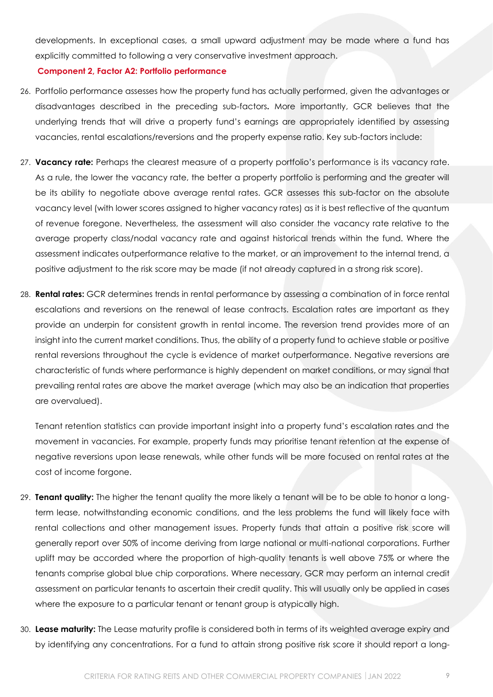developments. In exceptional cases, a small upward adjustment may be made where a fund has explicitly committed to following a very conservative investment approach.

#### <span id="page-8-0"></span>**Component 2, Factor A2: Portfolio performance**

- 26. Portfolio performance assesses how the property fund has actually performed, given the advantages or disadvantages described in the preceding sub-factors**.** More importantly, GCR believes that the underlying trends that will drive a property fund's earnings are appropriately identified by assessing vacancies, rental escalations/reversions and the property expense ratio. Key sub-factors include:
- 27. **Vacancy rate:** Perhaps the clearest measure of a property portfolio's performance is its vacancy rate. As a rule, the lower the vacancy rate, the better a property portfolio is performing and the greater will be its ability to negotiate above average rental rates. GCR assesses this sub-factor on the absolute vacancy level (with lower scores assigned to higher vacancy rates) as it is best reflective of the quantum of revenue foregone. Nevertheless, the assessment will also consider the vacancy rate relative to the average property class/nodal vacancy rate and against historical trends within the fund. Where the assessment indicates outperformance relative to the market, or an improvement to the internal trend, a positive adjustment to the risk score may be made (if not already captured in a strong risk score).
- 28. **Rental rates:** GCR determines trends in rental performance by assessing a combination of in force rental escalations and reversions on the renewal of lease contracts. Escalation rates are important as they provide an underpin for consistent growth in rental income. The reversion trend provides more of an insight into the current market conditions. Thus, the ability of a property fund to achieve stable or positive rental reversions throughout the cycle is evidence of market outperformance. Negative reversions are characteristic of funds where performance is highly dependent on market conditions, or may signal that prevailing rental rates are above the market average (which may also be an indication that properties are overvalued).

Tenant retention statistics can provide important insight into a property fund's escalation rates and the movement in vacancies. For example, property funds may prioritise tenant retention at the expense of negative reversions upon lease renewals, while other funds will be more focused on rental rates at the cost of income forgone.

- 29. **Tenant quality:** The higher the tenant quality the more likely a tenant will be to be able to honor a longterm lease, notwithstanding economic conditions, and the less problems the fund will likely face with rental collections and other management issues. Property funds that attain a positive risk score will generally report over 50% of income deriving from large national or multi-national corporations. Further uplift may be accorded where the proportion of high-quality tenants is well above 75% or where the tenants comprise global blue chip corporations. Where necessary, GCR may perform an internal credit assessment on particular tenants to ascertain their credit quality. This will usually only be applied in cases where the exposure to a particular tenant or tenant group is atypically high.
- 30. **Lease maturity:** The Lease maturity profile is considered both in terms of its weighted average expiry and by identifying any concentrations. For a fund to attain strong positive risk score it should report a long-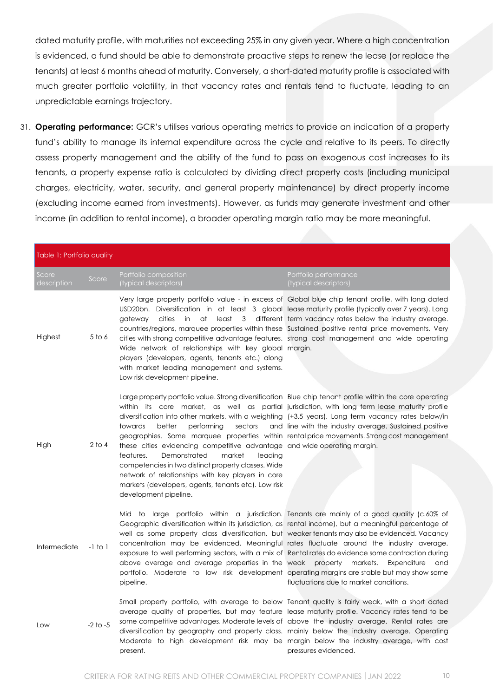dated maturity profile, with maturities not exceeding 25% in any given year. Where a high concentration is evidenced, a fund should be able to demonstrate proactive steps to renew the lease (or replace the tenants) at least 6 months ahead of maturity. Conversely, a short-dated maturity profile is associated with much greater portfolio volatility, in that vacancy rates and rentals tend to fluctuate, leading to an unpredictable earnings trajectory.

31. **Operating performance:** GCR's utilises various operating metrics to provide an indication of a property fund's ability to manage its internal expenditure across the cycle and relative to its peers. To directly assess property management and the ability of the fund to pass on exogenous cost increases to its tenants, a property expense ratio is calculated by dividing direct property costs (including municipal charges, electricity, water, security, and general property maintenance) by direct property income (excluding income earned from investments). However, as funds may generate investment and other income (in addition to rental income), a broader operating margin ratio may be more meaningful.

| Table 1: Portfolio quality |              |                                                                                                                                                                                                                                                                                                                                                                                                                                                                                                                                                                                                                                                                                                                                                                                          |                                                                  |  |
|----------------------------|--------------|------------------------------------------------------------------------------------------------------------------------------------------------------------------------------------------------------------------------------------------------------------------------------------------------------------------------------------------------------------------------------------------------------------------------------------------------------------------------------------------------------------------------------------------------------------------------------------------------------------------------------------------------------------------------------------------------------------------------------------------------------------------------------------------|------------------------------------------------------------------|--|
| Score<br>description       | Score        | Portfolio composition<br>(typical descriptors)                                                                                                                                                                                                                                                                                                                                                                                                                                                                                                                                                                                                                                                                                                                                           | Portfolio performance<br>(typical descriptors)                   |  |
| Highest                    | 5 to 6       | Very large property portfolio value - in excess of Global blue chip tenant profile, with long dated<br>USD20bn. Diversification in at least 3 global lease maturity profile (typically over 7 years). Long<br>cities<br>in<br>at<br>gateway<br>countries/regions, marquee properties within these Sustained positive rental price movements. Very<br>cities with strong competitive advantage features. strong cost management and wide operating<br>Wide network of relationships with key global margin.<br>players (developers, agents, tenants etc.) along<br>with market leading management and systems.<br>Low risk development pipeline.                                                                                                                                          | least 3 different term vacancy rates below the industry average. |  |
| High                       | $2$ to 4     | Large property portfolio value. Strong diversification Blue chip tenant profile within the core operating<br>within its core market, as well as partial jurisdiction, with long term lease maturity profile<br>diversification into other markets, with a weighting (+3.5 years). Long term vacancy rates below/in<br>towards<br>better<br>performing<br>sectors<br>geographies. Some marquee properties within rental price movements. Strong cost management<br>these cities evidencing competitive advantage and wide operating margin.<br>features.<br>Demonstrated<br>market<br>leading<br>competencies in two distinct property classes. Wide<br>network of relationships with key players in core<br>markets (developers, agents, tenants etc). Low risk<br>development pipeline. | and line with the industry average. Sustained positive           |  |
| Intermediate               | $-1$ to $1$  | Mid to large portfolio within a jurisdiction. Tenants are mainly of a good quality (c.60% of<br>Geographic diversification within its jurisdiction, as rental income), but a meaningful percentage of<br>well as some property class diversification, but weaker tenants may also be evidenced. Vacancy<br>concentration may be evidenced. Meaningful rates fluctuate around the industry average.<br>exposure to well performing sectors, with a mix of Rental rates do evidence some contraction during<br>above average and average properties in the weak property markets.<br>portfolio. Moderate to low risk development operating margins are stable but may show some<br>pipeline.                                                                                               | Expenditure<br>and<br>fluctuations due to market conditions.     |  |
| Low                        | $-2$ to $-5$ | Small property portfolio, with average to below Tenant quality is fairly weak, with a short dated<br>average quality of properties, but may feature lease maturity profile. Vacancy rates tend to be<br>some competitive advantages. Moderate levels of above the industry average. Rental rates are<br>diversification by geography and property class. mainly below the industry average. Operating<br>Moderate to high development risk may be margin below the industry average, with cost<br>present.                                                                                                                                                                                                                                                                               | pressures evidenced.                                             |  |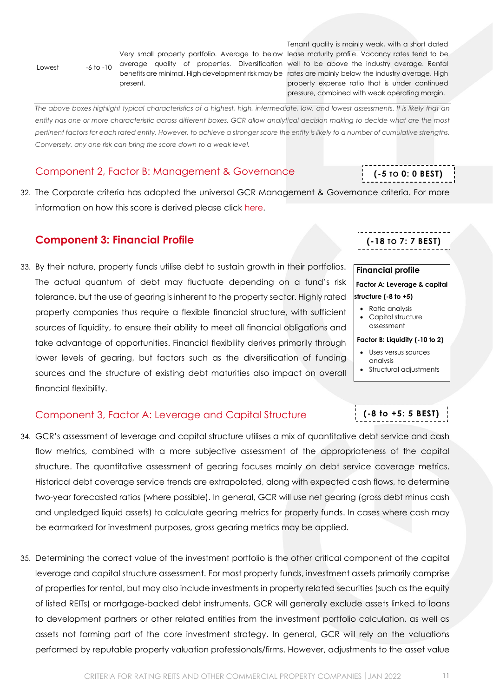Lowest -6 to -10

present.

Very small property portfolio. Average to below lease maturity profile. Vacancy rates tend to be average quality of properties. Diversification well to be above the industry average. Rental benefits are minimal. High development risk may be rates are mainly below the industry average. High Tenant quality is mainly weak, with a short dated property expense ratio that is under continued pressure, combined with weak operating margin.

*The above boxes highlight typical characteristics of a highest, high, intermediate, low, and lowest assessments. It is likely that an entity has one or more characteristic across different boxes. GCR allow analytical decision making to decide what are the most pertinent factors for each rated entity. However, to achieve a stronger score the entity is likely to a number of cumulative strengths. Conversely, any one risk can bring the score down to a weak level.* 

## <span id="page-10-0"></span>Component 2, Factor B: Management & Governance

32. The Corporate criteria has adopted the universal GCR Management & Governance criteria. For more information on how this score is derived please click [here.](http://gcrratings.com/criteria)

## <span id="page-10-1"></span>**Component 3: Financial Profile**

33. By their nature, property funds utilise debt to sustain growth in their portfolios. The actual quantum of debt may fluctuate depending on a fund's risk tolerance, but the use of gearing is inherent to the property sector. Highly rated property companies thus require a flexible financial structure, with sufficient sources of liquidity, to ensure their ability to meet all financial obligations and take advantage of opportunities. Financial flexibility derives primarily through lower levels of gearing, but factors such as the diversification of funding sources and the structure of existing debt maturities also impact on overall financial flexibility.

<span id="page-10-2"></span>

|  |  | Component 3, Factor A: Leverage and Capital Structure |
|--|--|-------------------------------------------------------|
|  |  |                                                       |

- 34. GCR's assessment of leverage and capital structure utilises a mix of quantitative debt service and cash flow metrics, combined with a more subjective assessment of the appropriateness of the capital structure. The quantitative assessment of gearing focuses mainly on debt service coverage metrics. Historical debt coverage service trends are extrapolated, along with expected cash flows, to determine two-year forecasted ratios (where possible). In general, GCR will use net gearing (gross debt minus cash and unpledged liquid assets) to calculate gearing metrics for property funds. In cases where cash may be earmarked for investment purposes, gross gearing metrics may be applied.
- 35. Determining the correct value of the investment portfolio is the other critical component of the capital leverage and capital structure assessment. For most property funds, investment assets primarily comprise of properties for rental, but may also include investments in property related securities (such as the equity of listed REITs) or mortgage-backed debt instruments. GCR will generally exclude assets linked to loans to development partners or other related entities from the investment portfolio calculation, as well as assets not forming part of the core investment strategy. In general, GCR will rely on the valuations performed by reputable property valuation professionals/firms. However, adjustments to the asset value

| .  |                                |  |
|----|--------------------------------|--|
| gh | Factor B: Liquidity (-10 to 2) |  |
|    | Lises versus sources           |  |

- Uses versus sources analysis
- Structural adjustments

**(-8 to +5: 5 BEST)**



**(-18 TO 7: 7 BEST)**

**Factor A: Leverage & capital** 

**Financial profile**

**structure (-8 to +5)** • Ratio analysis • Capital structure assessment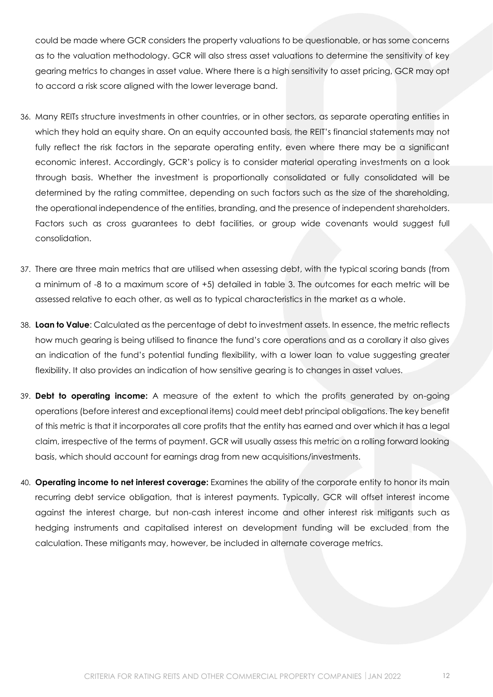could be made where GCR considers the property valuations to be questionable, or has some concerns as to the valuation methodology. GCR will also stress asset valuations to determine the sensitivity of key gearing metrics to changes in asset value. Where there is a high sensitivity to asset pricing, GCR may opt to accord a risk score aligned with the lower leverage band.

- 36. Many REITs structure investments in other countries, or in other sectors, as separate operating entities in which they hold an equity share. On an equity accounted basis, the REIT's financial statements may not fully reflect the risk factors in the separate operating entity, even where there may be a significant economic interest. Accordingly, GCR's policy is to consider material operating investments on a look through basis. Whether the investment is proportionally consolidated or fully consolidated will be determined by the rating committee, depending on such factors such as the size of the shareholding, the operational independence of the entities, branding, and the presence of independent shareholders. Factors such as cross guarantees to debt facilities, or group wide covenants would suggest full consolidation.
- 37. There are three main metrics that are utilised when assessing debt, with the typical scoring bands (from a minimum of -8 to a maximum score of +5) detailed in table 3. The outcomes for each metric will be assessed relative to each other, as well as to typical characteristics in the market as a whole.
- 38. **Loan to Value**: Calculated as the percentage of debt to investment assets. In essence, the metric reflects how much gearing is being utilised to finance the fund's core operations and as a corollary it also gives an indication of the fund's potential funding flexibility, with a lower loan to value suggesting greater flexibility. It also provides an indication of how sensitive gearing is to changes in asset values.
- 39. **Debt to operating income:** A measure of the extent to which the profits generated by on-going operations (before interest and exceptional items) could meet debt principal obligations. The key benefit of this metric is that it incorporates all core profits that the entity has earned and over which it has a legal claim, irrespective of the terms of payment. GCR will usually assess this metric on a rolling forward looking basis, which should account for earnings drag from new acquisitions/investments.
- 40. **Operating income to net interest coverage:** Examines the ability of the corporate entity to honor its main recurring debt service obligation, that is interest payments. Typically, GCR will offset interest income against the interest charge, but non-cash interest income and other interest risk mitigants such as hedging instruments and capitalised interest on development funding will be excluded from the calculation. These mitigants may, however, be included in alternate coverage metrics.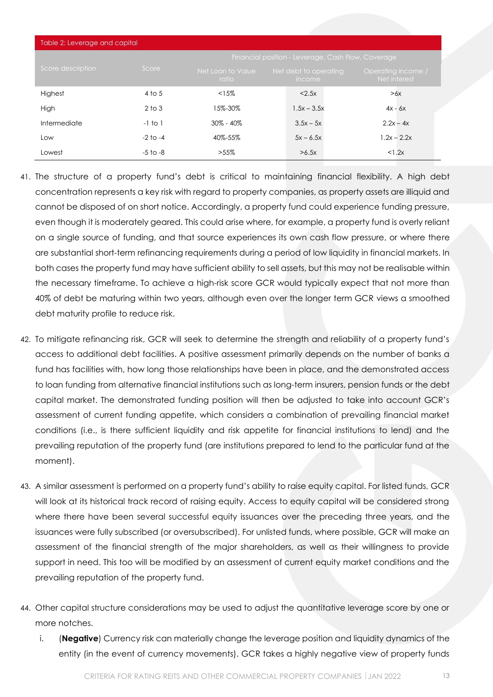| Table 2: Leverage and capital |              |                                                    |                                        |                                    |
|-------------------------------|--------------|----------------------------------------------------|----------------------------------------|------------------------------------|
|                               |              | Financial position - Leverage, Cash Flow, Coverage |                                        |                                    |
| Score description             | Score        | Net Loan to Value<br>ratio                         | Net debt to operating<br><i>income</i> | Operating income /<br>Net interest |
| Highest                       | $4$ to 5     | <15%                                               | < 2.5x                                 | >6x                                |
| High                          | $2$ to $3$   | 15%-30%                                            | $1.5x - 3.5x$                          | $4x - 6x$                          |
| Intermediate                  | $-1$ to $1$  | $30\% - 40\%$                                      | $3.5x - 5x$                            | $2.2x - 4x$                        |
| Low                           | $-2$ to $-4$ | 40%-55%                                            | $5x - 6.5x$                            | $1.2x - 2.2x$                      |
| Lowest                        | -5 to -8     | $>55\%$                                            | >6.5x                                  | <1.2x                              |

- 41. The structure of a property fund's debt is critical to maintaining financial flexibility. A high debt concentration represents a key risk with regard to property companies, as property assets are illiquid and cannot be disposed of on short notice. Accordingly, a property fund could experience funding pressure, even though it is moderately geared. This could arise where, for example, a property fund is overly reliant on a single source of funding, and that source experiences its own cash flow pressure, or where there are substantial short-term refinancing requirements during a period of low liquidity in financial markets. In both cases the property fund may have sufficient ability to sell assets, but this may not be realisable within the necessary timeframe. To achieve a high-risk score GCR would typically expect that not more than 40% of debt be maturing within two years, although even over the longer term GCR views a smoothed debt maturity profile to reduce risk.
- 42. To mitigate refinancing risk, GCR will seek to determine the strength and reliability of a property fund's access to additional debt facilities. A positive assessment primarily depends on the number of banks a fund has facilities with, how long those relationships have been in place, and the demonstrated access to loan funding from alternative financial institutions such as long-term insurers, pension funds or the debt capital market. The demonstrated funding position will then be adjusted to take into account GCR's assessment of current funding appetite, which considers a combination of prevailing financial market conditions (i.e., is there sufficient liquidity and risk appetite for financial institutions to lend) and the prevailing reputation of the property fund (are institutions prepared to lend to the particular fund at the moment).
- 43. A similar assessment is performed on a property fund's ability to raise equity capital. For listed funds, GCR will look at its historical track record of raising equity. Access to equity capital will be considered strong where there have been several successful equity issuances over the preceding three years, and the issuances were fully subscribed (or oversubscribed). For unlisted funds, where possible, GCR will make an assessment of the financial strength of the major shareholders, as well as their willingness to provide support in need. This too will be modified by an assessment of current equity market conditions and the prevailing reputation of the property fund.
- 44. Other capital structure considerations may be used to adjust the quantitative leverage score by one or more notches.
	- i. (**Negative**) Currency risk can materially change the leverage position and liquidity dynamics of the entity (in the event of currency movements). GCR takes a highly negative view of property funds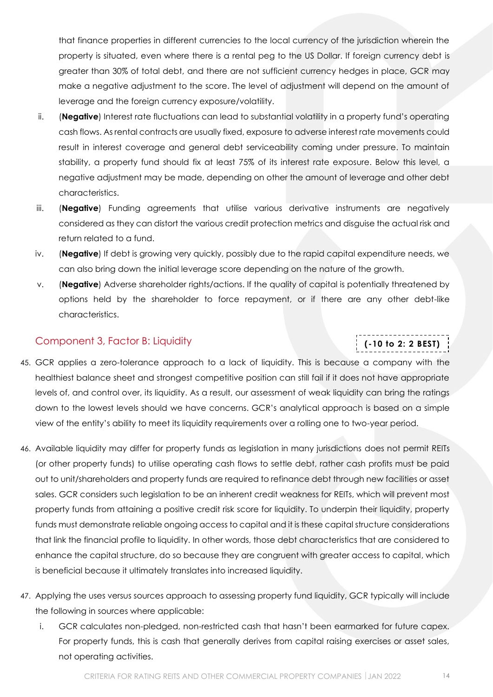that finance properties in different currencies to the local currency of the jurisdiction wherein the property is situated, even where there is a rental peg to the US Dollar. If foreign currency debt is greater than 30% of total debt, and there are not sufficient currency hedges in place, GCR may make a negative adjustment to the score. The level of adjustment will depend on the amount of leverage and the foreign currency exposure/volatility.

- ii. (**Negative**) Interest rate fluctuations can lead to substantial volatility in a property fund's operating cash flows. As rental contracts are usually fixed, exposure to adverse interest rate movements could result in interest coverage and general debt serviceability coming under pressure. To maintain stability, a property fund should fix at least 75% of its interest rate exposure. Below this level, a negative adjustment may be made, depending on other the amount of leverage and other debt characteristics.
- iii. (**Negative**) Funding agreements that utilise various derivative instruments are negatively considered as they can distort the various credit protection metrics and disguise the actual risk and return related to a fund.
- iv. (**Negative**) If debt is growing very quickly, possibly due to the rapid capital expenditure needs, we can also bring down the initial leverage score depending on the nature of the growth.
- v. (**Negative**) Adverse shareholder rights/actions. If the quality of capital is potentially threatened by options held by the shareholder to force repayment, or if there are any other debt-like characteristics.

## <span id="page-13-0"></span>Component 3, Factor B: Liquidity

## **(-10 to 2: 2 BEST)**

- 45. GCR applies a zero-tolerance approach to a lack of liquidity. This is because a company with the healthiest balance sheet and strongest competitive position can still fail if it does not have appropriate levels of, and control over, its liquidity. As a result, our assessment of weak liquidity can bring the ratings down to the lowest levels should we have concerns. GCR's analytical approach is based on a simple view of the entity's ability to meet its liquidity requirements over a rolling one to two-year period.
- 46. Available liquidity may differ for property funds as legislation in many jurisdictions does not permit REITs (or other property funds) to utilise operating cash flows to settle debt, rather cash profits must be paid out to unit/shareholders and property funds are required to refinance debt through new facilities or asset sales. GCR considers such legislation to be an inherent credit weakness for REITs, which will prevent most property funds from attaining a positive credit risk score for liquidity. To underpin their liquidity, property funds must demonstrate reliable ongoing access to capital and it is these capital structure considerations that link the financial profile to liquidity. In other words, those debt characteristics that are considered to enhance the capital structure, do so because they are congruent with greater access to capital, which is beneficial because it ultimately translates into increased liquidity.
- 47. Applying the uses versus sources approach to assessing property fund liquidity, GCR typically will include the following in sources where applicable:
	- i. GCR calculates non-pledged, non-restricted cash that hasn't been earmarked for future capex. For property funds, this is cash that generally derives from capital raising exercises or asset sales, not operating activities.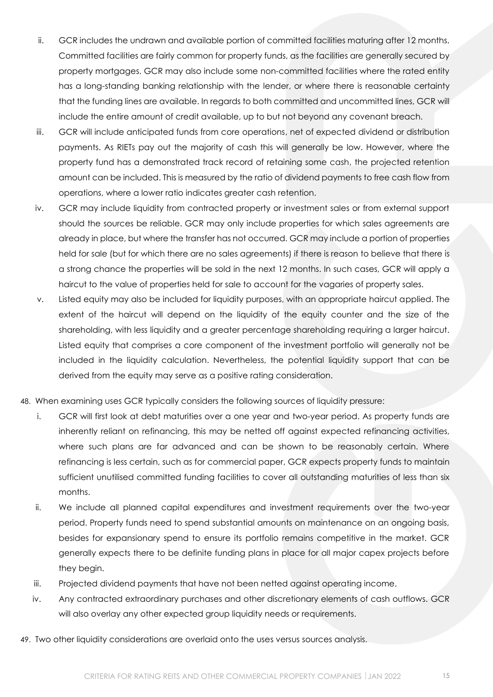- ii. GCR includes the undrawn and available portion of committed facilities maturing after 12 months. Committed facilities are fairly common for property funds, as the facilities are generally secured by property mortgages. GCR may also include some non-committed facilities where the rated entity has a long-standing banking relationship with the lender, or where there is reasonable certainty that the funding lines are available. In regards to both committed and uncommitted lines, GCR will include the entire amount of credit available, up to but not beyond any covenant breach.
- iii. GCR will include anticipated funds from core operations, net of expected dividend or distribution payments. As RIETs pay out the majority of cash this will generally be low. However, where the property fund has a demonstrated track record of retaining some cash, the projected retention amount can be included. This is measured by the ratio of dividend payments to free cash flow from operations, where a lower ratio indicates greater cash retention.
- iv. GCR may include liquidity from contracted property or investment sales or from external support should the sources be reliable. GCR may only include properties for which sales agreements are already in place, but where the transfer has not occurred. GCR may include a portion of properties held for sale (but for which there are no sales agreements) if there is reason to believe that there is a strong chance the properties will be sold in the next 12 months. In such cases, GCR will apply a haircut to the value of properties held for sale to account for the vagaries of property sales.
- v. Listed equity may also be included for liquidity purposes, with an appropriate haircut applied. The extent of the haircut will depend on the liquidity of the equity counter and the size of the shareholding, with less liquidity and a greater percentage shareholding requiring a larger haircut. Listed equity that comprises a core component of the investment portfolio will generally not be included in the liquidity calculation. Nevertheless, the potential liquidity support that can be derived from the equity may serve as a positive rating consideration.
- 48. When examining uses GCR typically considers the following sources of liquidity pressure:
	- i. GCR will first look at debt maturities over a one year and two-year period. As property funds are inherently reliant on refinancing, this may be netted off against expected refinancing activities, where such plans are far advanced and can be shown to be reasonably certain. Where refinancing is less certain, such as for commercial paper, GCR expects property funds to maintain sufficient unutilised committed funding facilities to cover all outstanding maturities of less than six months.
	- ii. We include all planned capital expenditures and investment requirements over the two-year period. Property funds need to spend substantial amounts on maintenance on an ongoing basis, besides for expansionary spend to ensure its portfolio remains competitive in the market. GCR generally expects there to be definite funding plans in place for all major capex projects before they begin.
	- iii. Projected dividend payments that have not been netted against operating income.
	- iv. Any contracted extraordinary purchases and other discretionary elements of cash outflows. GCR will also overlay any other expected group liquidity needs or requirements.
- 49. Two other liquidity considerations are overlaid onto the uses versus sources analysis.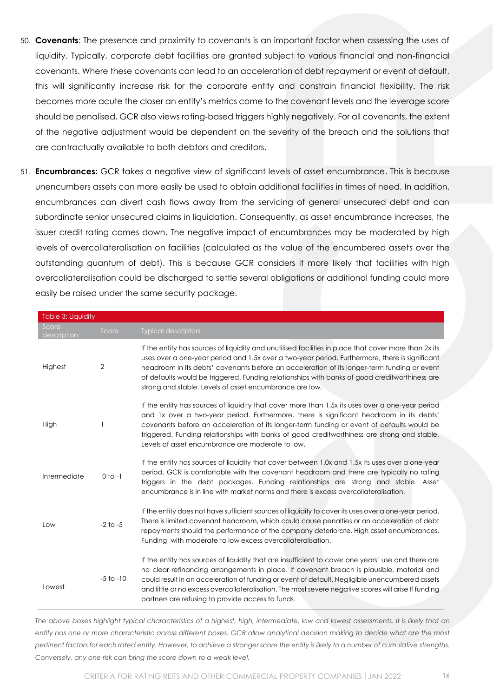- 50. **Covenants**: The presence and proximity to covenants is an important factor when assessing the uses of liquidity. Typically, corporate debt facilities are granted subject to various financial and non-financial covenants. Where these covenants can lead to an acceleration of debt repayment or event of default, this will significantly increase risk for the corporate entity and constrain financial flexibility. The risk becomes more acute the closer an entity's metrics come to the covenant levels and the leverage score should be penalised. GCR also views rating-based triggers highly negatively. For all covenants, the extent of the negative adjustment would be dependent on the severity of the breach and the solutions that are contractually available to both debtors and creditors.
- 51. **Encumbrances:** GCR takes a negative view of significant levels of asset encumbrance. This is because unencumbers assets can more easily be used to obtain additional facilities in times of need. In addition, encumbrances can divert cash flows away from the servicing of general unsecured debt and can subordinate senior unsecured claims in liquidation. Consequently, as asset encumbrance increases, the issuer credit rating comes down. The negative impact of encumbrances may be moderated by high levels of overcollateralisation on facilities (calculated as the value of the encumbered assets over the outstanding quantum of debt). This is because GCR considers it more likely that facilities with high overcollateralisation could be discharged to settle several obligations or additional funding could more easily be raised under the same security package.

| <b>Table 3: Liquidity</b> |                |                                                                                                                                                                                                                                                                                                                                                                                                                                                                    |
|---------------------------|----------------|--------------------------------------------------------------------------------------------------------------------------------------------------------------------------------------------------------------------------------------------------------------------------------------------------------------------------------------------------------------------------------------------------------------------------------------------------------------------|
| Score<br>description      | Score          | <b>Typical descriptors</b>                                                                                                                                                                                                                                                                                                                                                                                                                                         |
| Highest                   | $\overline{2}$ | If the entity has sources of liquidity and unutilised facilities in place that cover more than 2x its<br>uses over a one-year period and 1.5x over a two-year period. Furthermore, there is significant<br>headroom in its debts' covenants before an acceleration of its longer-term funding or event<br>of defaults would be triggered. Funding relationships with banks of good creditworthiness are<br>strong and stable. Levels of asset encumbrance are low. |
| High                      |                | If the entity has sources of liquidity that cover more than 1.5x its uses over a one-year period<br>and 1x over a two-year period. Furthermore, there is significant headroom in its debts'<br>covenants before an acceleration of its longer-term funding or event of defaults would be<br>triggered. Funding relationships with banks of good creditworthiness are strong and stable.<br>Levels of asset encumbrance are moderate to low.                        |
| Intermediate              | $0$ to $-1$    | If the entity has sources of liquidity that cover between 1.0x and 1.5x its uses over a one-year<br>period. GCR is comfortable with the covenant headroom and there are typically no rating<br>triggers in the debt packages. Funding relationships are strong and stable. Asset<br>encumbrance is in line with market norms and there is excess overcollateralisation.                                                                                            |
| Low                       | $-2$ to $-5$   | If the entity does not have sufficient sources of liquidity to cover its uses over a one-year period.<br>There is limited covenant headroom, which could cause penalties or an acceleration of debt<br>repayments should the performance of the company deteriorate. High asset encumbrances.<br>Funding, with moderate to low excess overcollateralisation.                                                                                                       |
| Lowest                    | $-5$ to $-10$  | If the entity has sources of liquidity that are insufficient to cover one years' use and there are<br>no clear refinancing arrangements in place. If covenant breach is plausible, material and<br>could result in an acceleration of funding or event of default. Negligible unencumbered assets<br>and little or no excess overcollateralisation. The most severe negative scores will arise If funding<br>partners are refusing to provide access to funds.     |

*The above boxes highlight typical characteristics of a highest, high, intermediate, low and lowest assessments. It is likely that an entity has one or more characteristic across different boxes. GCR allow analytical decision making to decide what are the most pertinent factors for each rated entity. However, to achieve a stronger score the entity is likely to a number of cumulative strengths. Conversely, any one risk can bring the score down to a weak level.*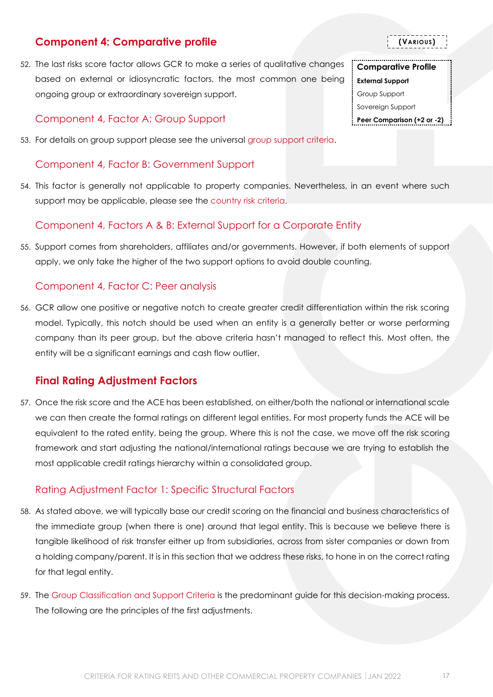## <span id="page-16-0"></span>**Component 4: Comparative profile**

52. The last risks score factor allows GCR to make a series of qualitative changes based on external or idiosyncratic factors, the most common one being ongoing group or extraordinary sovereign support.

## <span id="page-16-1"></span>Component 4, Factor A: Group Support

53. For details on group support please see the universal [group support criteria.](http://gcrratings.com/criteria)

## <span id="page-16-2"></span>Component 4, Factor B: Government Support

54. This factor is generally not applicable to property companies. Nevertheless, in an event where such support may be applicable, please see the [country risk criteria.](http://gcrratings.com/criteria)

## <span id="page-16-3"></span>Component 4, Factors A & B: External Support for a Corporate Entity

55. Support comes from shareholders, affiliates and/or governments. However, if both elements of support apply, we only take the higher of the two support options to avoid double counting.

## <span id="page-16-4"></span>Component 4, Factor C: Peer analysis

56. GCR allow one positive or negative notch to create greater credit differentiation within the risk scoring model. Typically, this notch should be used when an entity is a generally better or worse performing company than its peer group, but the above criteria hasn't managed to reflect this. Most often, the entity will be a significant earnings and cash flow outlier.

## <span id="page-16-5"></span>**Final Rating Adjustment Factors**

57. Once the risk score and the ACE has been established, on either/both the national or international scale we can then create the formal ratings on different legal entities. For most property funds the ACE will be equivalent to the rated entity, being the group. Where this is not the case, we move off the risk scoring framework and start adjusting the national/international ratings because we are trying to establish the most applicable credit ratings hierarchy within a consolidated group.

## <span id="page-16-6"></span>Rating Adjustment Factor 1: Specific Structural Factors

- 58. As stated above, we will typically base our credit scoring on the financial and business characteristics of the immediate group (when there is one) around that legal entity. This is because we believe there is tangible likelihood of risk transfer either up from subsidiaries, across from sister companies or down from a holding company/parent. It is in this section that we address these risks, to hone in on the correct rating for that legal entity.
- 59. The [Group Classification and Support Criteria](https://globalratings.net/news/article/gcr-requests-public-comment-on-draft-ratings-framework-criteria-and-draft-r) is the predominant guide for this decision-making process. The following are the principles of the first adjustments.

**(VARIOUS)**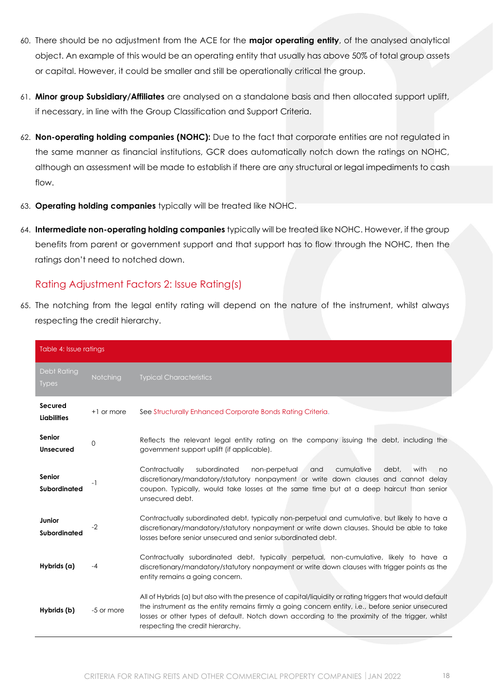- 60. There should be no adjustment from the ACE for the **major operating entity**, of the analysed analytical object. An example of this would be an operating entity that usually has above 50% of total group assets or capital. However, it could be smaller and still be operationally critical the group.
- 61. **Minor group Subsidiary/Affiliates** are analysed on a standalone basis and then allocated support uplift, if necessary, in line with the Group Classification and Support Criteria.
- 62. **Non-operating holding companies (NOHC):** Due to the fact that corporate entities are not regulated in the same manner as financial institutions, GCR does automatically notch down the ratings on NOHC, although an assessment will be made to establish if there are any structural or legal impediments to cash flow.
- 63. **Operating holding companies** typically will be treated like NOHC.
- 64. **Intermediate non-operating holding companies** typically will be treated like NOHC. However, if the group benefits from parent or government support and that support has to flow through the NOHC, then the ratings don't need to notched down.

#### <span id="page-17-0"></span>Rating Adjustment Factors 2: Issue Rating(s)

65. The notching from the legal entity rating will depend on the nature of the instrument, whilst always respecting the credit hierarchy.

| Table 4: Issue ratings             |            |                                                                                                                                                                                                                                                                                                                                                     |  |  |
|------------------------------------|------------|-----------------------------------------------------------------------------------------------------------------------------------------------------------------------------------------------------------------------------------------------------------------------------------------------------------------------------------------------------|--|--|
| <b>Debt Rating</b><br><b>Types</b> | Notching   | <b>Typical Characteristics</b>                                                                                                                                                                                                                                                                                                                      |  |  |
| Secured<br><b>Liabilities</b>      | +1 or more | See Structurally Enhanced Corporate Bonds Rating Criteria.                                                                                                                                                                                                                                                                                          |  |  |
| Senior<br>Unsecured                | 0          | Reflects the relevant legal entity rating on the company issuing the debt, including the<br>government support uplift (if applicable).                                                                                                                                                                                                              |  |  |
| Senior<br>Subordinated             | - 1        | Contractually<br>subordinated<br>debt.<br>with<br>non-perpetual<br>and<br>cumulative<br>no<br>discretionary/mandatory/statutory nonpayment or write down clauses and cannot delay<br>coupon. Typically, would take losses at the same time but at a deep haircut than senior<br>unsecured debt.                                                     |  |  |
| Junior<br>Subordinated             | $-2$       | Contractually subordinated debt, typically non-perpetual and cumulative, but likely to have a<br>discretionary/mandatory/statutory nonpayment or write down clauses. Should be able to take<br>losses before senior unsecured and senior subordinated debt.                                                                                         |  |  |
| Hybrids (a)                        | -4         | Contractually subordinated debt, typically perpetual, non-cumulative, likely to have a<br>discretionary/mandatory/statutory nonpayment or write down clauses with trigger points as the<br>entity remains a going concern.                                                                                                                          |  |  |
| Hybrids (b)                        | -5 or more | All of Hybrids (a) but also with the presence of capital/liquidity or rating triggers that would default<br>the instrument as the entity remains firmly a going concern entity, i.e., before senior unsecured<br>losses or other types of default. Notch down according to the proximity of the trigger, whilst<br>respecting the credit hierarchy. |  |  |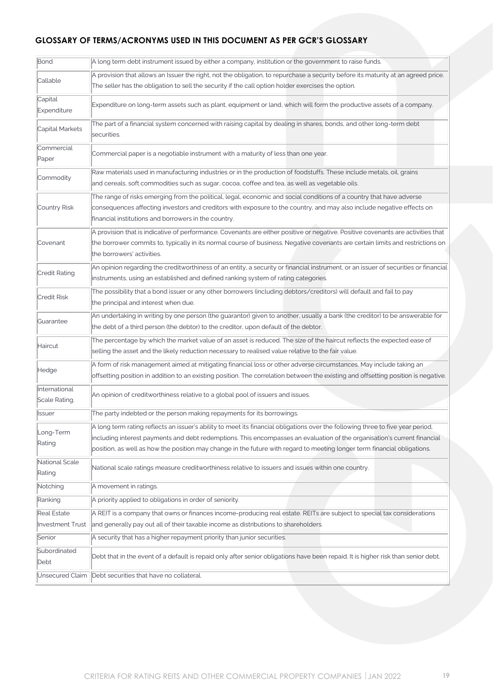#### **GLOSSARY OF TERMS/ACRONYMS USED IN THIS DOCUMENT AS PER GCR'S GLOSSARY**

| Bond                           | A long term debt instrument issued by either a company, institution or the government to raise funds.                                                                                                                                                                                                                                                                                   |  |  |  |  |
|--------------------------------|-----------------------------------------------------------------------------------------------------------------------------------------------------------------------------------------------------------------------------------------------------------------------------------------------------------------------------------------------------------------------------------------|--|--|--|--|
| Callable                       | A provision that allows an Issuer the right, not the obligation, to repurchase a security before its maturity at an agreed price.<br>The seller has the obligation to sell the security if the call option holder exercises the option.                                                                                                                                                 |  |  |  |  |
| Capital<br>Expenditure         | Expenditure on long-term assets such as plant, equipment or land, which will form the productive assets of a company.                                                                                                                                                                                                                                                                   |  |  |  |  |
| Capital Markets                | The part of a financial system concerned with raising capital by dealing in shares, bonds, and other long-term debt<br>securities.                                                                                                                                                                                                                                                      |  |  |  |  |
| Commercial<br>Paper            | Commercial paper is a negotiable instrument with a maturity of less than one year.                                                                                                                                                                                                                                                                                                      |  |  |  |  |
| Commodity                      | Raw materials used in manufacturing industries or in the production of foodstuffs. These include metals, oil, grains<br>and cereals, soft commodities such as sugar, cocoa, coffee and tea, as well as vegetable oils.                                                                                                                                                                  |  |  |  |  |
| Country Risk                   | The range of risks emerging from the political, legal, economic and social conditions of a country that have adverse<br>consequences affecting investors and creditors with exposure to the country, and may also include negative effects on<br>financial institutions and borrowers in the country.                                                                                   |  |  |  |  |
| Covenant                       | A provision that is indicative of performance. Covenants are either positive or negative. Positive covenants are activities that<br>the borrower commits to, typically in its normal course of business. Negative covenants are certain limits and restrictions on<br>the borrowers' activities.                                                                                        |  |  |  |  |
| Credit Rating                  | An opinion regarding the creditworthiness of an entity, a security or financial instrument, or an issuer of securities or financial<br>instruments, using an established and defined ranking system of rating categories.                                                                                                                                                               |  |  |  |  |
| <b>Credit Risk</b>             | The possibility that a bond issuer or any other borrowers (including debtors/creditors) will default and fail to pay<br>the principal and interest when due.                                                                                                                                                                                                                            |  |  |  |  |
| Guarantee                      | An undertaking in writing by one person (the guarantor) given to another, usually a bank (the creditor) to be answerable for<br>the debt of a third person (the debtor) to the creditor, upon default of the debtor.                                                                                                                                                                    |  |  |  |  |
| Haircut                        | The percentage by which the market value of an asset is reduced. The size of the haircut reflects the expected ease of<br>selling the asset and the likely reduction necessary to realised value relative to the fair value.                                                                                                                                                            |  |  |  |  |
| Hedge                          | A form of risk management aimed at mitigating financial loss or other adverse circumstances. May include taking an<br>offsetting position in addition to an existing position. The correlation between the existing and offsetting position is negative.                                                                                                                                |  |  |  |  |
| International<br>Scale Rating. | An opinion of creditworthiness relative to a global pool of issuers and issues.                                                                                                                                                                                                                                                                                                         |  |  |  |  |
| Issuer                         | The party indebted or the person making repayments for its borrowings.                                                                                                                                                                                                                                                                                                                  |  |  |  |  |
| Long-Term<br>Rating            | A long term rating reflects an issuer's ability to meet its financial obligations over the following three to five year period,<br>including interest payments and debt redemptions. This encompasses an evaluation of the organisation's current financial<br>position, as well as how the position may change in the future with regard to meeting longer term financial obligations. |  |  |  |  |
| National Scale<br>Rating       | National scale ratings measure creditworthiness relative to issuers and issues within one country.                                                                                                                                                                                                                                                                                      |  |  |  |  |
| Notching                       | A movement in ratings.                                                                                                                                                                                                                                                                                                                                                                  |  |  |  |  |
| Ranking                        | A priority applied to obligations in order of seniority.                                                                                                                                                                                                                                                                                                                                |  |  |  |  |
| Real Estate                    | A REIT is a company that owns or finances income-producing real estate. REITs are subject to special tax considerations                                                                                                                                                                                                                                                                 |  |  |  |  |
| <b>Investment Trust</b>        | and generally pay out all of their taxable income as distributions to shareholders.                                                                                                                                                                                                                                                                                                     |  |  |  |  |
| Senior                         | A security that has a higher repayment priority than junior securities.                                                                                                                                                                                                                                                                                                                 |  |  |  |  |
| Subordinated<br>Debt           | Debt that in the event of a default is repaid only after senior obligations have been repaid. It is higher risk than senior debt.                                                                                                                                                                                                                                                       |  |  |  |  |
| Unsecured Claim                | Debt securities that have no collateral.                                                                                                                                                                                                                                                                                                                                                |  |  |  |  |